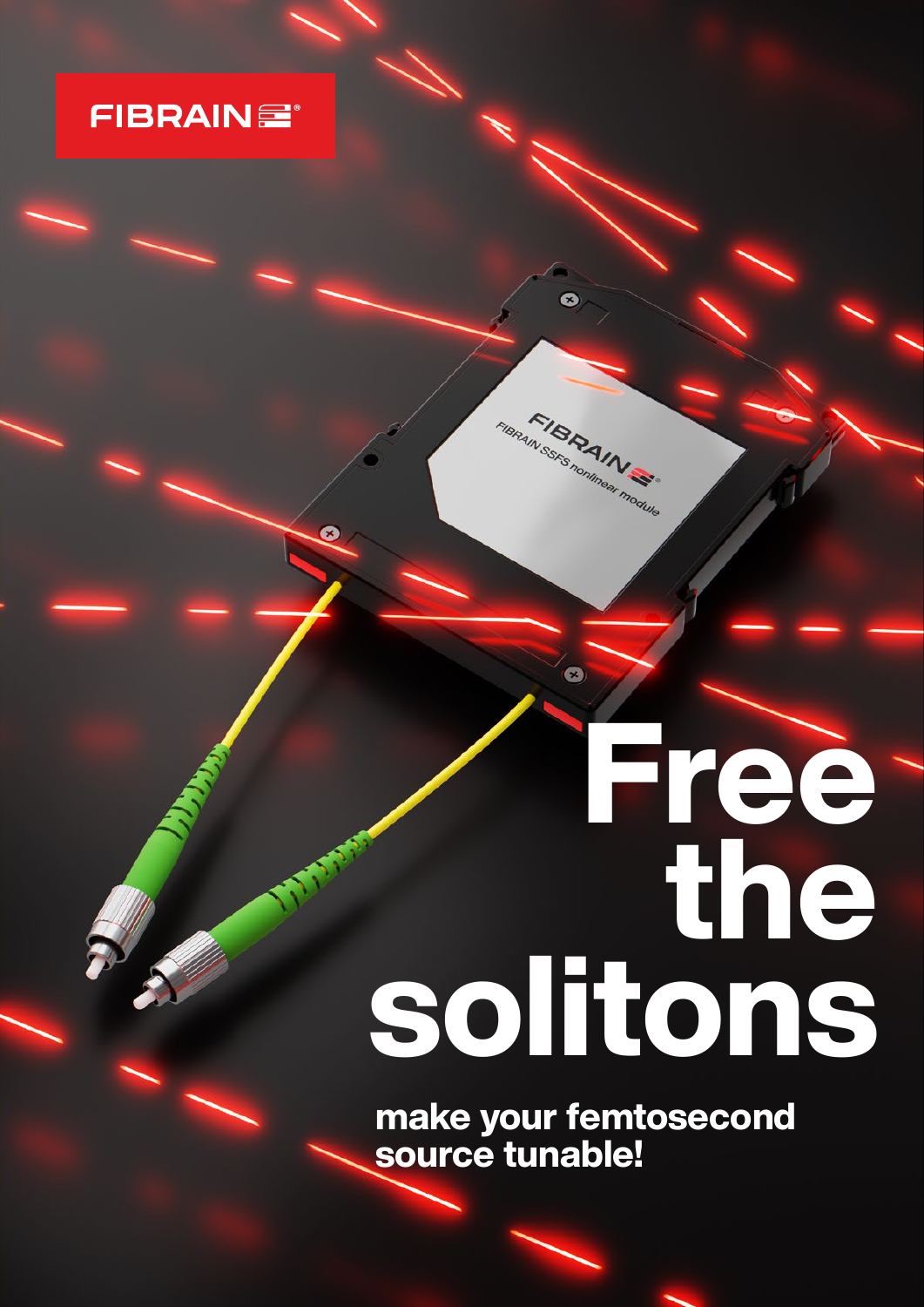

7

## **Solitons**

Ó

FIBRAINS FIBRAIN SSFS nominear module

 $\bullet$ 

make your femtosecond<br>source tunable!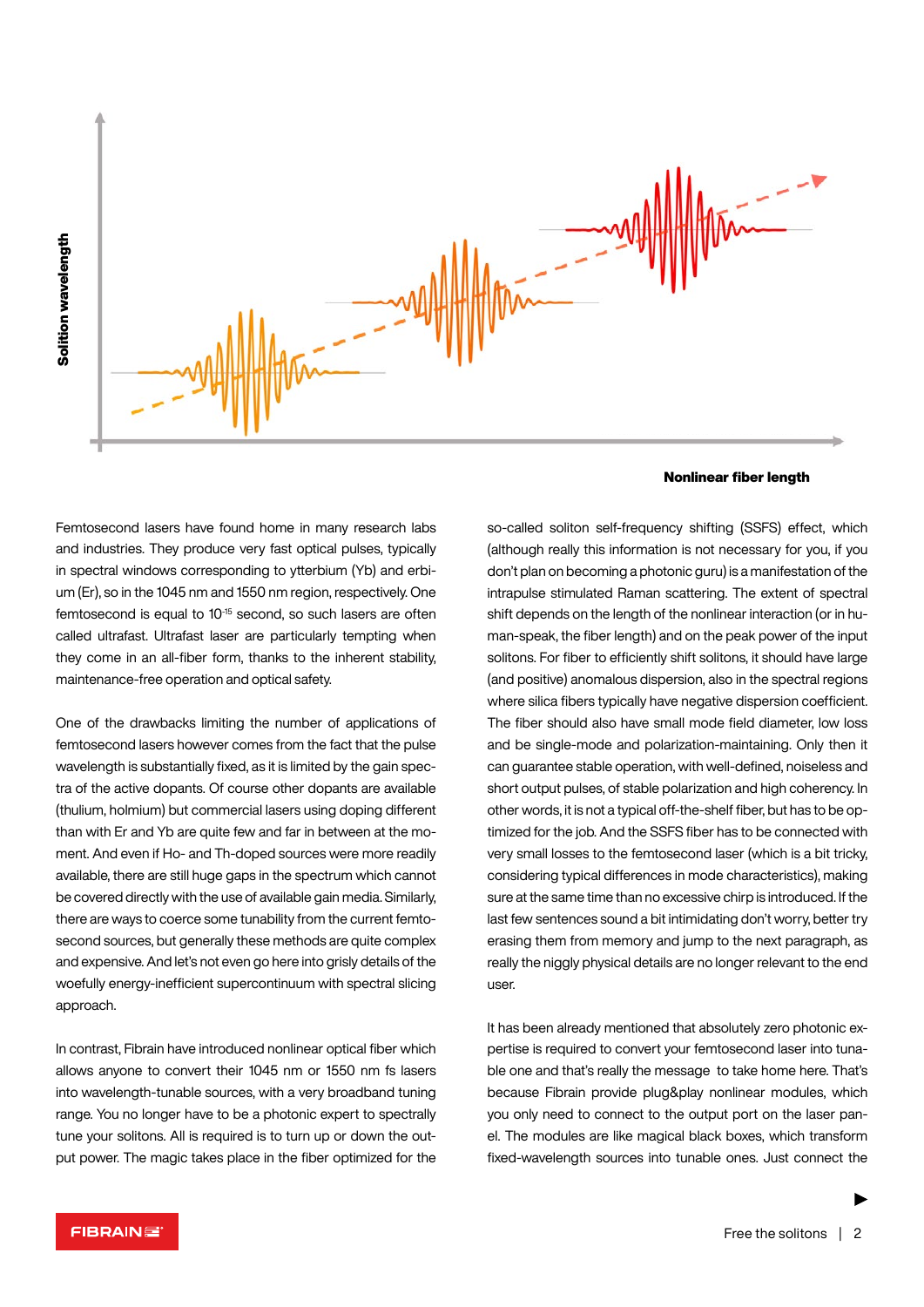

Nonlinear fiber length

Femtosecond lasers have found home in many research labs and industries. They produce very fast optical pulses, typically in spectral windows corresponding to ytterbium (Yb) and erbium (Er), so in the 1045 nm and 1550 nm region, respectively. One femtosecond is equal to 10<sup>-15</sup> second, so such lasers are often called ultrafast. Ultrafast laser are particularly tempting when they come in an all-fiber form, thanks to the inherent stability, maintenance-free operation and optical safety.

One of the drawbacks limiting the number of applications of femtosecond lasers however comes from the fact that the pulse wavelength is substantially fixed, as it is limited by the gain spectra of the active dopants. Of course other dopants are available (thulium, holmium) but commercial lasers using doping different than with Er and Yb are quite few and far in between at the moment. And even if Ho- and Th-doped sources were more readily available, there are still huge gaps in the spectrum which cannot be covered directly with the use of available gain media. Similarly, there are ways to coerce some tunability from the current femtosecond sources, but generally these methods are quite complex and expensive. And let's not even go here into grisly details of the woefully energy-inefficient supercontinuum with spectral slicing approach.

In contrast, Fibrain have introduced nonlinear optical fiber which allows anyone to convert their 1045 nm or 1550 nm fs lasers into wavelength-tunable sources, with a very broadband tuning range. You no longer have to be a photonic expert to spectrally tune your solitons. All is required is to turn up or down the output power. The magic takes place in the fiber optimized for the so-called soliton self-frequency shifting (SSFS) effect, which (although really this information is not necessary for you, if you don't plan on becoming a photonic guru) is a manifestation of the intrapulse stimulated Raman scattering. The extent of spectral shift depends on the length of the nonlinear interaction (or in human-speak, the fiber length) and on the peak power of the input solitons. For fiber to efficiently shift solitons, it should have large (and positive) anomalous dispersion, also in the spectral regions where silica fibers typically have negative dispersion coefficient. The fiber should also have small mode field diameter, low loss and be single-mode and polarization-maintaining. Only then it can guarantee stable operation, with well-defined, noiseless and short output pulses, of stable polarization and high coherency. In other words, it is not a typical off-the-shelf fiber, but has to be optimized for the job. And the SSFS fiber has to be connected with very small losses to the femtosecond laser (which is a bit tricky, considering typical differences in mode characteristics), making sure at the same time than no excessive chirp is introduced. If the last few sentences sound a bit intimidating don't worry, better try erasing them from memory and jump to the next paragraph, as really the niggly physical details are no longer relevant to the end user.

It has been already mentioned that absolutely zero photonic expertise is required to convert your femtosecond laser into tunable one and that's really the message to take home here. That's because Fibrain provide plug&play nonlinear modules, which you only need to connect to the output port on the laser panel. The modules are like magical black boxes, which transform fixed-wavelength sources into tunable ones. Just connect the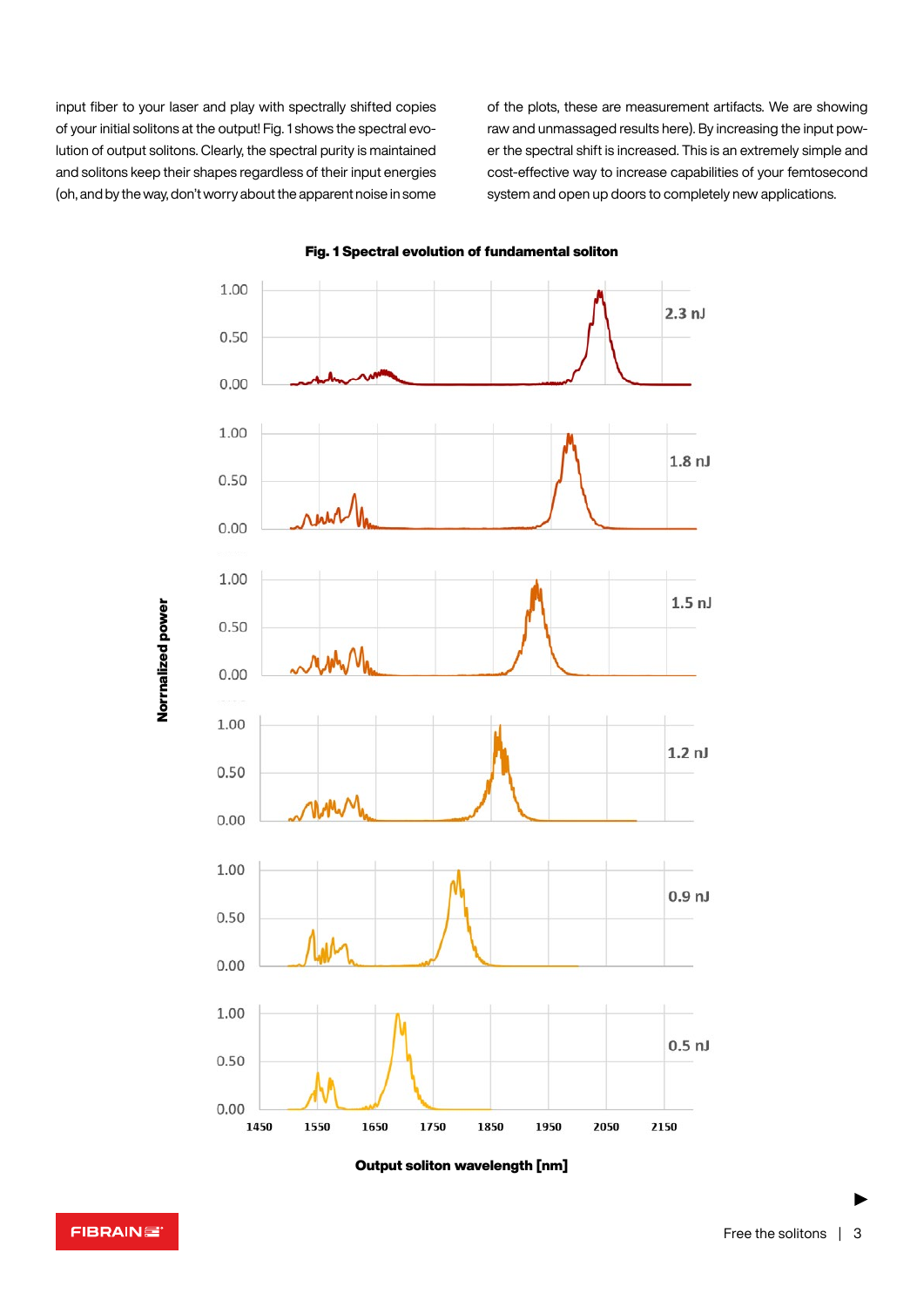input fiber to your laser and play with spectrally shifted copies of your initial solitons at the output! Fig. 1 shows the spectral evolution of output solitons. Clearly, the spectral purity is maintained and solitons keep their shapes regardless of their input energies (oh, and by the way, don't worry about the apparent noise in some of the plots, these are measurement artifacts. We are showing raw and unmassaged results here). By increasing the input power the spectral shift is increased. This is an extremely simple and cost-effective way to increase capabilities of your femtosecond system and open up doors to completely new applications.



Fig. 1 Spectral evolution of fundamental soliton

Output soliton wavelength [nm]

FIBRAINE

Norrnalized power

Normalized power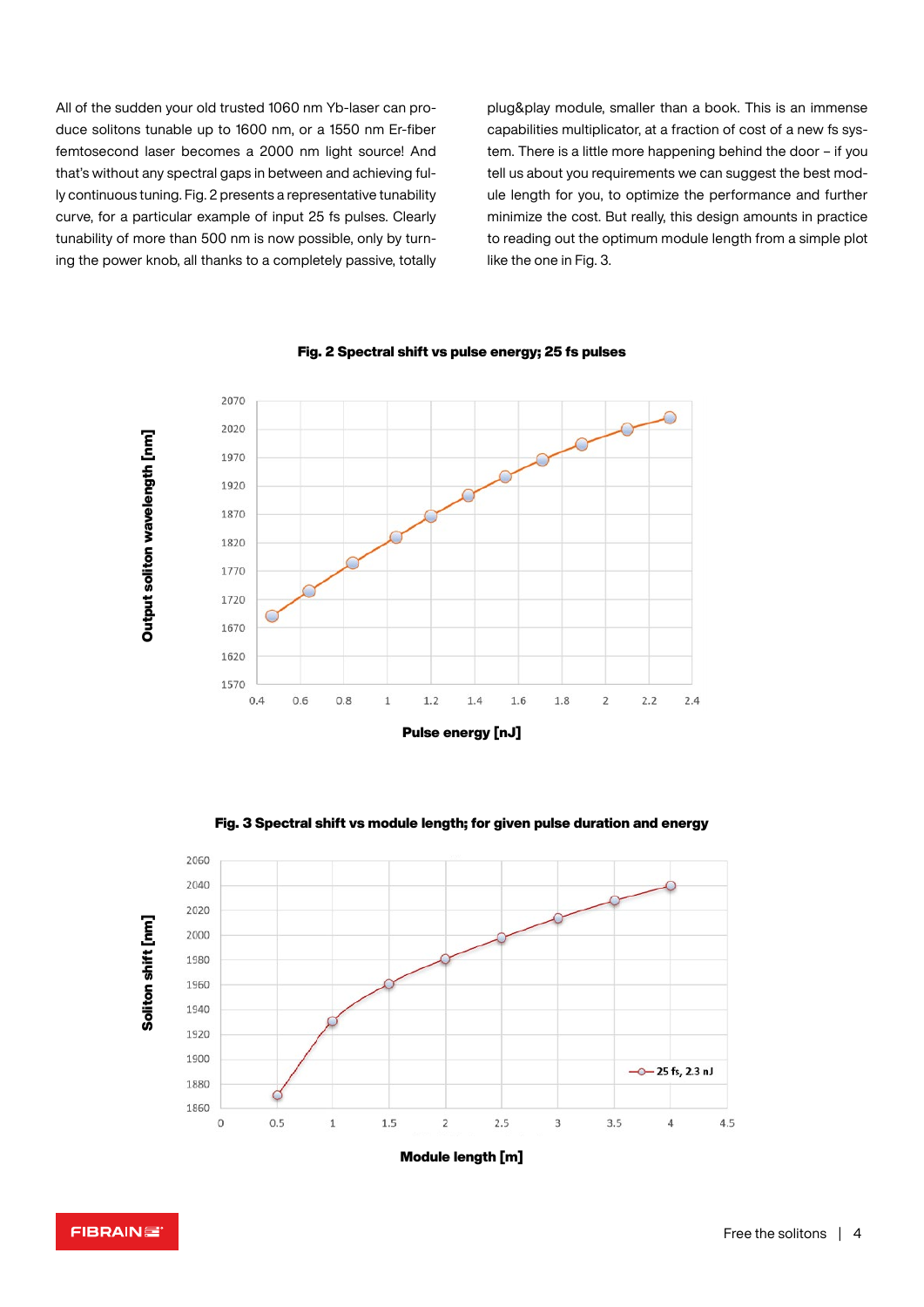All of the sudden your old trusted 1060 nm Yb-laser can produce solitons tunable up to 1600 nm, or a 1550 nm Er-fiber femtosecond laser becomes a 2000 nm light source! And that's without any spectral gaps in between and achieving fully continuous tuning. Fig. 2 presents a representative tunability curve, for a particular example of input 25 fs pulses. Clearly tunability of more than 500 nm is now possible, only by turning the power knob, all thanks to a completely passive, totally plug&play module, smaller than a book. This is an immense capabilities multiplicator, at a fraction of cost of a new fs system. There is a little more happening behind the door – if you tell us about you requirements we can suggest the best module length for you, to optimize the performance and further minimize the cost. But really, this design amounts in practice to reading out the optimum module length from a simple plot like the one in Fig. 3.



Fig. 2 Spectral shift vs pulse energy; 25 fs pulses



Fig. 3 Spectral shift vs module length; for given pulse duration and energy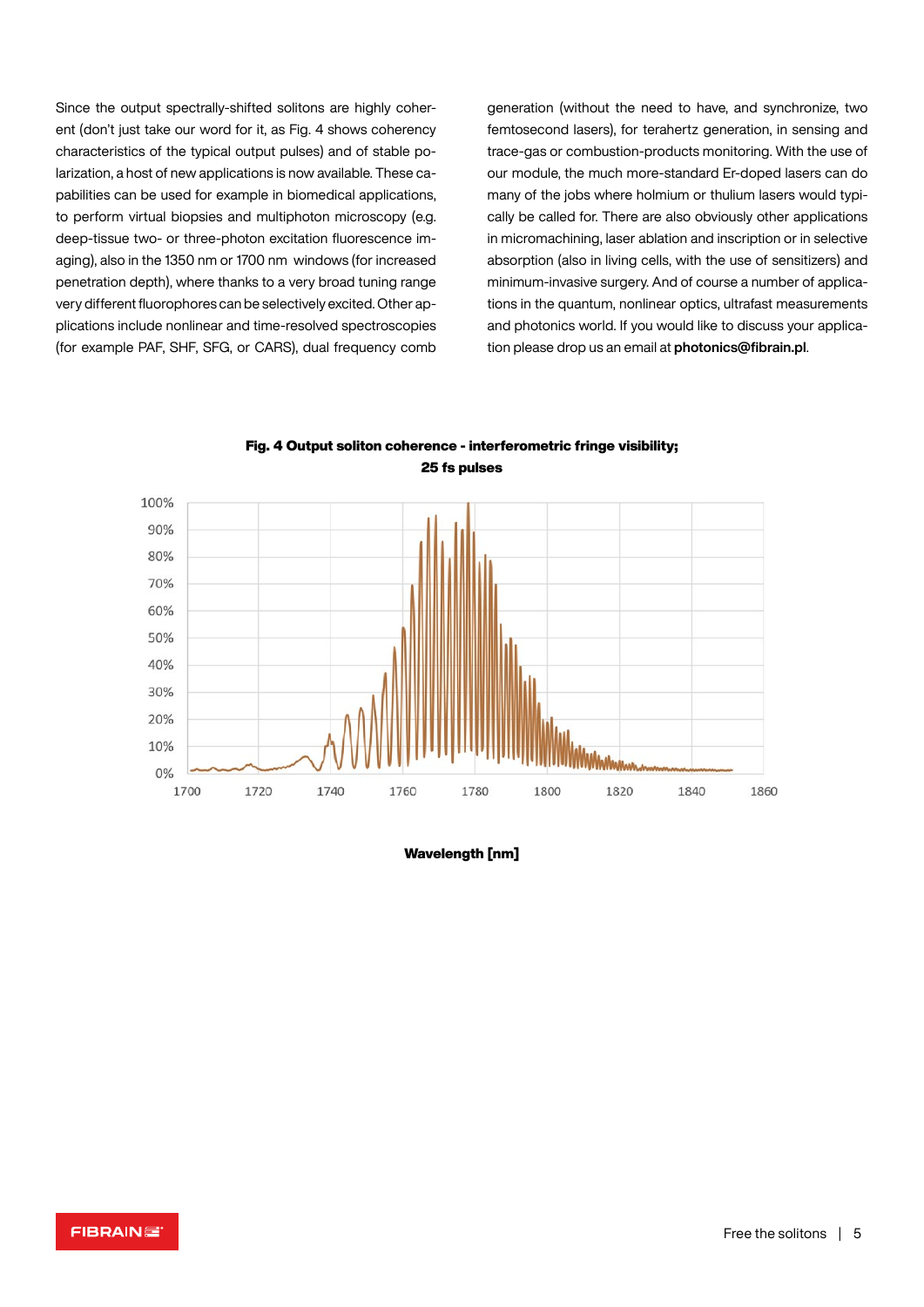Since the output spectrally-shifted solitons are highly coherent (don't just take our word for it, as Fig. 4 shows coherency characteristics of the typical output pulses) and of stable polarization, a host of new applications is now available. These capabilities can be used for example in biomedical applications, to perform virtual biopsies and multiphoton microscopy (e.g. deep-tissue two- or three-photon excitation fluorescence imaging), also in the 1350 nm or 1700 nm windows (for increased penetration depth), where thanks to a very broad tuning range very different fluorophores can be selectively excited. Other applications include nonlinear and time-resolved spectroscopies (for example PAF, SHF, SFG, or CARS), dual frequency comb generation (without the need to have, and synchronize, two femtosecond lasers), for terahertz generation, in sensing and trace-gas or combustion-products monitoring. With the use of our module, the much more-standard Er-doped lasers can do many of the jobs where holmium or thulium lasers would typically be called for. There are also obviously other applications in micromachining, laser ablation and inscription or in selective absorption (also in living cells, with the use of sensitizers) and minimum-invasive surgery. And of course a number of applications in the quantum, nonlinear optics, ultrafast measurements and photonics world. If you would like to discuss your application please drop us an email at **[photonics@fibrain.pl](mailto:photonics@fibrain.pl)**.



Fig. 4 Output soliton coherence - interferometric fringe visibility; 25 fs pulses

Wavelength [nm]